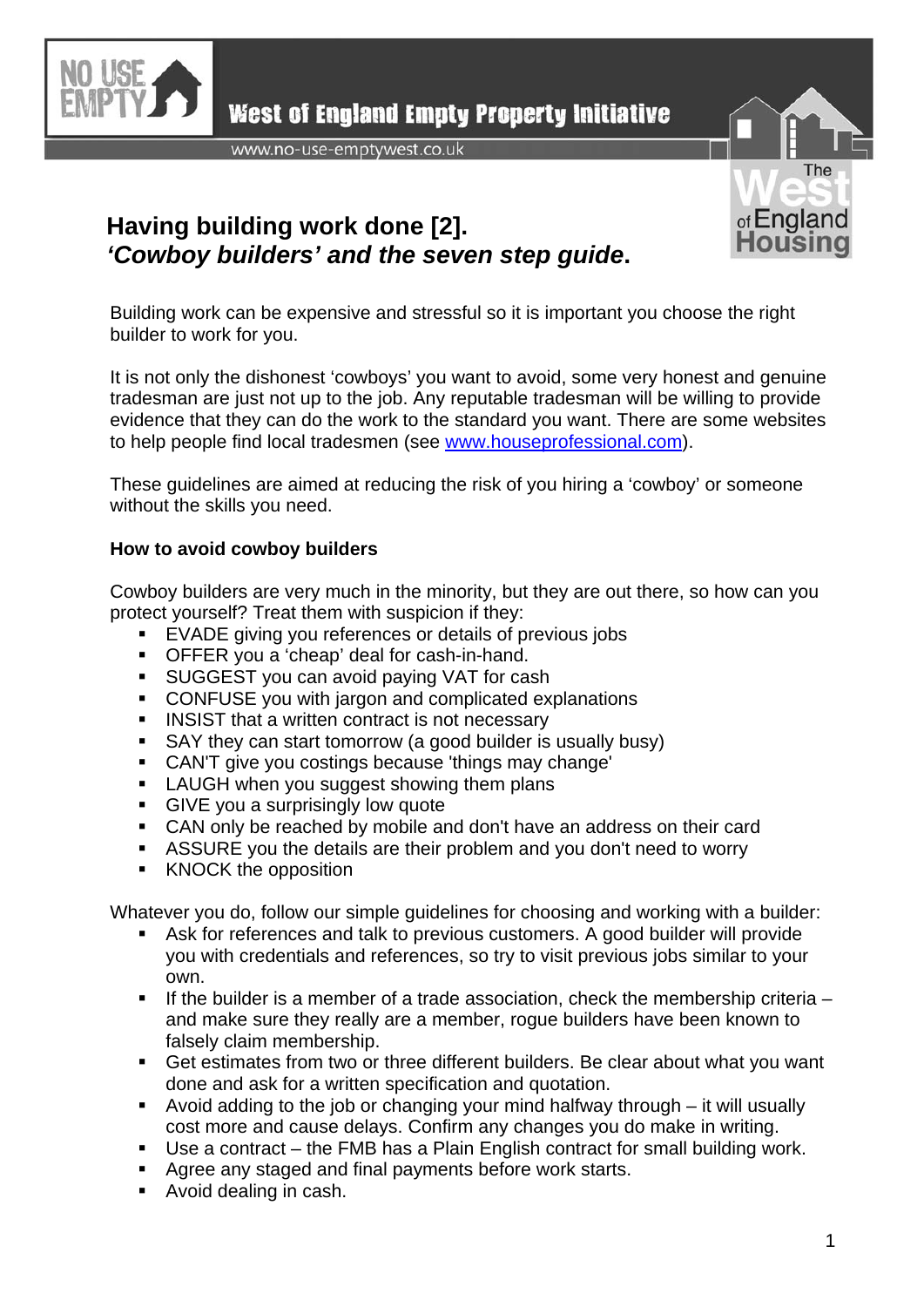

**West of England Empty Property Initiative** 

www.no-use-emptywest.co.uk



## **Having building work done [2].**  *'Cowboy builders' and the seven step guide***.**

Building work can be expensive and stressful so it is important you choose the right builder to work for you.

It is not only the dishonest 'cowboys' you want to avoid, some very honest and genuine tradesman are just not up to the job. Any reputable tradesman will be willing to provide evidence that they can do the work to the standard you want. There are some websites to help people find local tradesmen (see [www.houseprofessional.com\)](http://www.houseprofessional.com/).

These guidelines are aimed at reducing the risk of you hiring a 'cowboy' or someone without the skills you need.

## **How to avoid cowboy builders**

Cowboy builders are very much in the minority, but they are out there, so how can you protect yourself? Treat them with suspicion if they:

- EVADE giving you references or details of previous jobs
- OFFER you a 'cheap' deal for cash-in-hand.
- **SUGGEST you can avoid paying VAT for cash**
- CONFUSE you with jargon and complicated explanations
- **INSIST that a written contract is not necessary**
- SAY they can start tomorrow (a good builder is usually busy)
- CAN'T give you costings because 'things may change'
- **LAUGH** when you suggest showing them plans
- **GIVE** you a surprisingly low quote
- CAN only be reached by mobile and don't have an address on their card
- ASSURE you the details are their problem and you don't need to worry
- KNOCK the opposition

Whatever you do, follow our simple guidelines for choosing and working with a builder:

- Ask for references and talk to previous customers. A good builder will provide you with credentials and references, so try to visit previous jobs similar to your own.
- If the builder is a member of a trade association, check the membership criteria  $$ and make sure they really are a member, rogue builders have been known to falsely claim membership.
- Get estimates from two or three different builders. Be clear about what you want done and ask for a written specification and quotation.
- Avoid adding to the job or changing your mind halfway through it will usually cost more and cause delays. Confirm any changes you do make in writing.
- Use a contract the FMB has a Plain English contract for small building work.
- Agree any staged and final payments before work starts.
- Avoid dealing in cash.